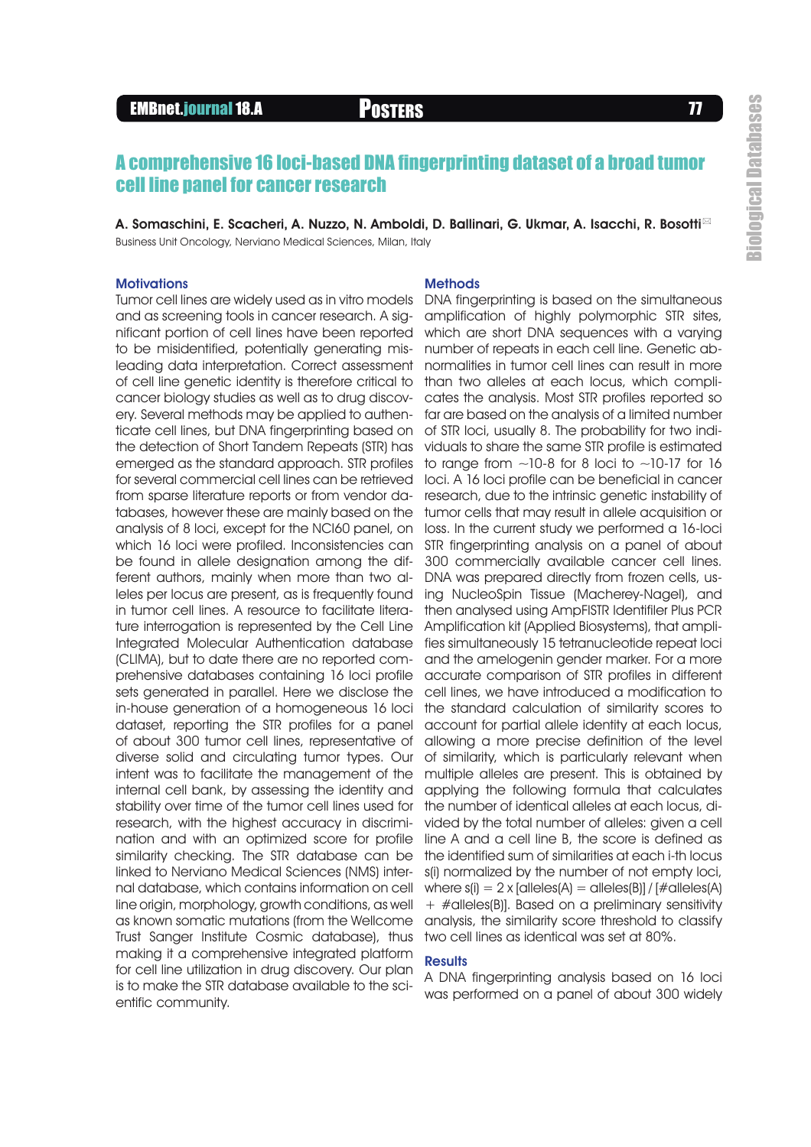# EMBnet.journal 18.A POSTERS FOR THE POSTERS TO A RESERVE THE RESERVE TO A RESERVE THE RESERVE TO A RESERVE THE

## A comprehensive 16 loci-based DNA fingerprinting dataset of a broad tumor cell line panel for cancer research

A. Somaschini, E. Scacheri, A. Nuzzo, N. Amboldi, D. Ballinari, G. Ukmar, A. Isacchi, R. Bosotti⊠ Business Unit Oncology, Nerviano Medical Sciences, Milan, Italy

## **Motivations**

and as screening tools in cancer research. A significant portion of cell lines have been reported to be misidentified, potentially generating misleading data interpretation. Correct assessment of cell line genetic identity is therefore critical to cancer biology studies as well as to drug discovery. Several methods may be applied to authenticate cell lines, but DNA fingerprinting based on the detection of Short Tandem Repeats (STR) has emerged as the standard approach. STR profiles for several commercial cell lines can be retrieved from sparse literature reports or from vendor databases, however these are mainly based on the analysis of 8 loci, except for the NCI60 panel, on which 16 loci were profiled. Inconsistencies can be found in allele designation among the different authors, mainly when more than two alleles per locus are present, as is frequently found in tumor cell lines. A resource to facilitate literature interrogation is represented by the Cell Line Integrated Molecular Authentication database (CLIMA), but to date there are no reported comprehensive databases containing 16 loci profile sets generated in parallel. Here we disclose the in-house generation of a homogeneous 16 loci dataset, reporting the STR profiles for a panel of about 300 tumor cell lines, representative of diverse solid and circulating tumor types. Our intent was to facilitate the management of the internal cell bank, by assessing the identity and stability over time of the tumor cell lines used for research, with the highest accuracy in discrimination and with an optimized score for profile similarity checking. The STR database can be linked to Nerviano Medical Sciences (NMS) internal database, which contains information on cell line origin, morphology, growth conditions, as well as known somatic mutations (from the Wellcome Trust Sanger Institute Cosmic database), thus making it a comprehensive integrated platform for cell line utilization in drug discovery. Our plan is to make the STR database available to the scientific community.

## **Methods**

Tumor cell lines are widely used as in vitro models DNA fingerprinting is based on the simultaneous amplification of highly polymorphic STR sites, which are short DNA sequences with a varying number of repeats in each cell line. Genetic abnormalities in tumor cell lines can result in more than two alleles at each locus, which complicates the analysis. Most STR profiles reported so far are based on the analysis of a limited number of STR loci, usually 8. The probability for two individuals to share the same STR profile is estimated to range from  $\sim$ 10-8 for 8 loci to  $\sim$ 10-17 for 16 loci. A 16 loci profile can be beneficial in cancer research, due to the intrinsic genetic instability of tumor cells that may result in allele acquisition or loss. In the current study we performed a 16-loci STR fingerprinting analysis on a panel of about 300 commercially available cancer cell lines. DNA was prepared directly from frozen cells, using NucleoSpin Tissue (Macherey-Nagel), and then analysed using AmpFlSTR Identifiler Plus PCR Amplification kit (Applied Biosystems), that amplifies simultaneously 15 tetranucleotide repeat loci and the amelogenin gender marker. For a more accurate comparison of STR profiles in different cell lines, we have introduced a modification to the standard calculation of similarity scores to account for partial allele identity at each locus, allowing a more precise definition of the level of similarity, which is particularly relevant when multiple alleles are present. This is obtained by applying the following formula that calculates the number of identical alleles at each locus, divided by the total number of alleles: given a cell line A and a cell line B, the score is defined as the identified sum of similarities at each i-th locus s(i) normalized by the number of not empty loci, where  $s(i) = 2x$  [alleles(A) = alleles(B)] / [#alleles(A) + #alleles(B)]. Based on a preliminary sensitivity analysis, the similarity score threshold to classify two cell lines as identical was set at 80%.

## **Results**

A DNA fingerprinting analysis based on 16 loci was performed on a panel of about 300 widely